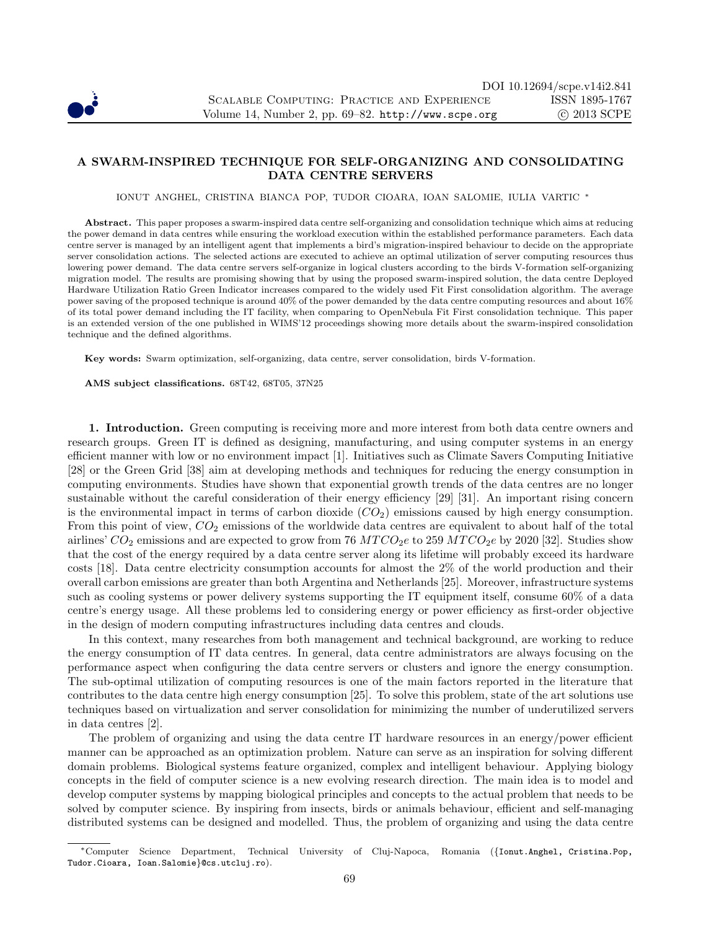

## A SWARM-INSPIRED TECHNIQUE FOR SELF-ORGANIZING AND CONSOLIDATING DATA CENTRE SERVERS

IONUT ANGHEL, CRISTINA BIANCA POP, TUDOR CIOARA, IOAN SALOMIE, IULIA VARTIC <sup>∗</sup>

Abstract. This paper proposes a swarm-inspired data centre self-organizing and consolidation technique which aims at reducing the power demand in data centres while ensuring the workload execution within the established performance parameters. Each data centre server is managed by an intelligent agent that implements a bird's migration-inspired behaviour to decide on the appropriate server consolidation actions. The selected actions are executed to achieve an optimal utilization of server computing resources thus lowering power demand. The data centre servers self-organize in logical clusters according to the birds V-formation self-organizing migration model. The results are promising showing that by using the proposed swarm-inspired solution, the data centre Deployed Hardware Utilization Ratio Green Indicator increases compared to the widely used Fit First consolidation algorithm. The average power saving of the proposed technique is around 40% of the power demanded by the data centre computing resources and about 16% of its total power demand including the IT facility, when comparing to OpenNebula Fit First consolidation technique. This paper is an extended version of the one published in WIMS'12 proceedings showing more details about the swarm-inspired consolidation technique and the defined algorithms.

Key words: Swarm optimization, self-organizing, data centre, server consolidation, birds V-formation.

AMS subject classifications. 68T42, 68T05, 37N25

1. Introduction. Green computing is receiving more and more interest from both data centre owners and research groups. Green IT is defined as designing, manufacturing, and using computer systems in an energy efficient manner with low or no environment impact [1]. Initiatives such as Climate Savers Computing Initiative [28] or the Green Grid [38] aim at developing methods and techniques for reducing the energy consumption in computing environments. Studies have shown that exponential growth trends of the data centres are no longer sustainable without the careful consideration of their energy efficiency [29] [31]. An important rising concern is the environmental impact in terms of carbon dioxide  $(CO<sub>2</sub>)$  emissions caused by high energy consumption. From this point of view,  $CO_2$  emissions of the worldwide data centres are equivalent to about half of the total airlines'  $CO_2$  emissions and are expected to grow from 76  $MTCO_2e$  to 259  $MTCO_2e$  by 2020 [32]. Studies show that the cost of the energy required by a data centre server along its lifetime will probably exceed its hardware costs [18]. Data centre electricity consumption accounts for almost the 2% of the world production and their overall carbon emissions are greater than both Argentina and Netherlands [25]. Moreover, infrastructure systems such as cooling systems or power delivery systems supporting the IT equipment itself, consume 60% of a data centre's energy usage. All these problems led to considering energy or power efficiency as first-order objective in the design of modern computing infrastructures including data centres and clouds.

In this context, many researches from both management and technical background, are working to reduce the energy consumption of IT data centres. In general, data centre administrators are always focusing on the performance aspect when configuring the data centre servers or clusters and ignore the energy consumption. The sub-optimal utilization of computing resources is one of the main factors reported in the literature that contributes to the data centre high energy consumption [25]. To solve this problem, state of the art solutions use techniques based on virtualization and server consolidation for minimizing the number of underutilized servers in data centres [2].

The problem of organizing and using the data centre IT hardware resources in an energy/power efficient manner can be approached as an optimization problem. Nature can serve as an inspiration for solving different domain problems. Biological systems feature organized, complex and intelligent behaviour. Applying biology concepts in the field of computer science is a new evolving research direction. The main idea is to model and develop computer systems by mapping biological principles and concepts to the actual problem that needs to be solved by computer science. By inspiring from insects, birds or animals behaviour, efficient and self-managing distributed systems can be designed and modelled. Thus, the problem of organizing and using the data centre

<sup>∗</sup>Computer Science Department, Technical University of Cluj-Napoca, Romania ({Ionut.Anghel, Cristina.Pop, Tudor.Cioara, Ioan.Salomie}@cs.utcluj.ro).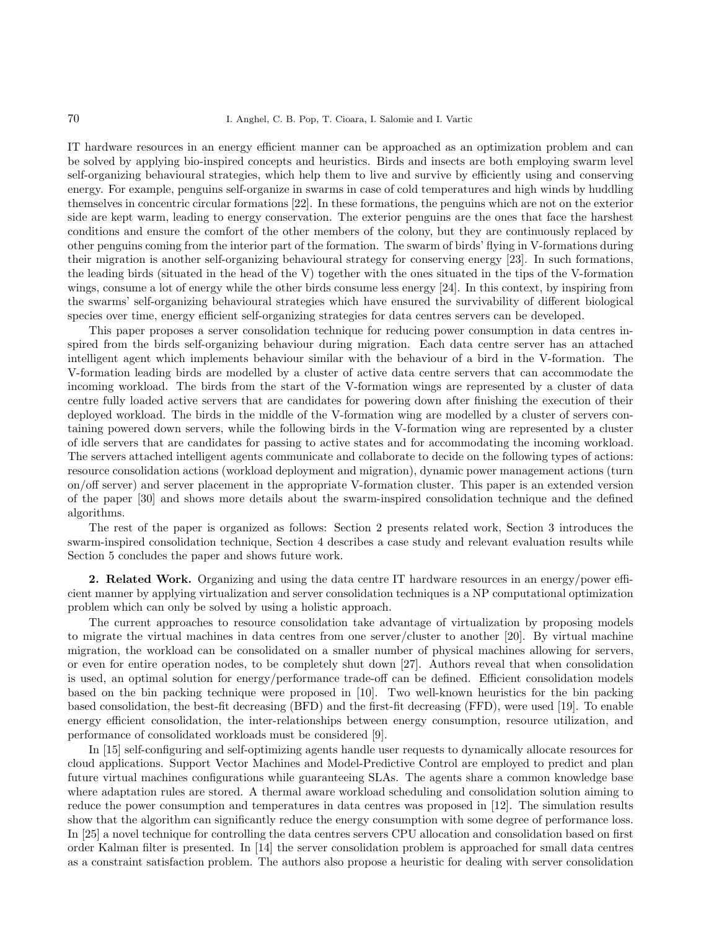IT hardware resources in an energy efficient manner can be approached as an optimization problem and can be solved by applying bio-inspired concepts and heuristics. Birds and insects are both employing swarm level self-organizing behavioural strategies, which help them to live and survive by efficiently using and conserving energy. For example, penguins self-organize in swarms in case of cold temperatures and high winds by huddling themselves in concentric circular formations [22]. In these formations, the penguins which are not on the exterior side are kept warm, leading to energy conservation. The exterior penguins are the ones that face the harshest conditions and ensure the comfort of the other members of the colony, but they are continuously replaced by other penguins coming from the interior part of the formation. The swarm of birds' flying in V-formations during their migration is another self-organizing behavioural strategy for conserving energy [23]. In such formations, the leading birds (situated in the head of the V) together with the ones situated in the tips of the V-formation wings, consume a lot of energy while the other birds consume less energy [24]. In this context, by inspiring from the swarms' self-organizing behavioural strategies which have ensured the survivability of different biological species over time, energy efficient self-organizing strategies for data centres servers can be developed.

This paper proposes a server consolidation technique for reducing power consumption in data centres inspired from the birds self-organizing behaviour during migration. Each data centre server has an attached intelligent agent which implements behaviour similar with the behaviour of a bird in the V-formation. The V-formation leading birds are modelled by a cluster of active data centre servers that can accommodate the incoming workload. The birds from the start of the V-formation wings are represented by a cluster of data centre fully loaded active servers that are candidates for powering down after finishing the execution of their deployed workload. The birds in the middle of the V-formation wing are modelled by a cluster of servers containing powered down servers, while the following birds in the V-formation wing are represented by a cluster of idle servers that are candidates for passing to active states and for accommodating the incoming workload. The servers attached intelligent agents communicate and collaborate to decide on the following types of actions: resource consolidation actions (workload deployment and migration), dynamic power management actions (turn on/off server) and server placement in the appropriate V-formation cluster. This paper is an extended version of the paper [30] and shows more details about the swarm-inspired consolidation technique and the defined algorithms.

The rest of the paper is organized as follows: Section 2 presents related work, Section 3 introduces the swarm-inspired consolidation technique, Section 4 describes a case study and relevant evaluation results while Section 5 concludes the paper and shows future work.

2. Related Work. Organizing and using the data centre IT hardware resources in an energy/power efficient manner by applying virtualization and server consolidation techniques is a NP computational optimization problem which can only be solved by using a holistic approach.

The current approaches to resource consolidation take advantage of virtualization by proposing models to migrate the virtual machines in data centres from one server/cluster to another [20]. By virtual machine migration, the workload can be consolidated on a smaller number of physical machines allowing for servers, or even for entire operation nodes, to be completely shut down [27]. Authors reveal that when consolidation is used, an optimal solution for energy/performance trade-off can be defined. Efficient consolidation models based on the bin packing technique were proposed in [10]. Two well-known heuristics for the bin packing based consolidation, the best-fit decreasing (BFD) and the first-fit decreasing (FFD), were used [19]. To enable energy efficient consolidation, the inter-relationships between energy consumption, resource utilization, and performance of consolidated workloads must be considered [9].

In [15] self-configuring and self-optimizing agents handle user requests to dynamically allocate resources for cloud applications. Support Vector Machines and Model-Predictive Control are employed to predict and plan future virtual machines configurations while guaranteeing SLAs. The agents share a common knowledge base where adaptation rules are stored. A thermal aware workload scheduling and consolidation solution aiming to reduce the power consumption and temperatures in data centres was proposed in [12]. The simulation results show that the algorithm can significantly reduce the energy consumption with some degree of performance loss. In [25] a novel technique for controlling the data centres servers CPU allocation and consolidation based on first order Kalman filter is presented. In [14] the server consolidation problem is approached for small data centres as a constraint satisfaction problem. The authors also propose a heuristic for dealing with server consolidation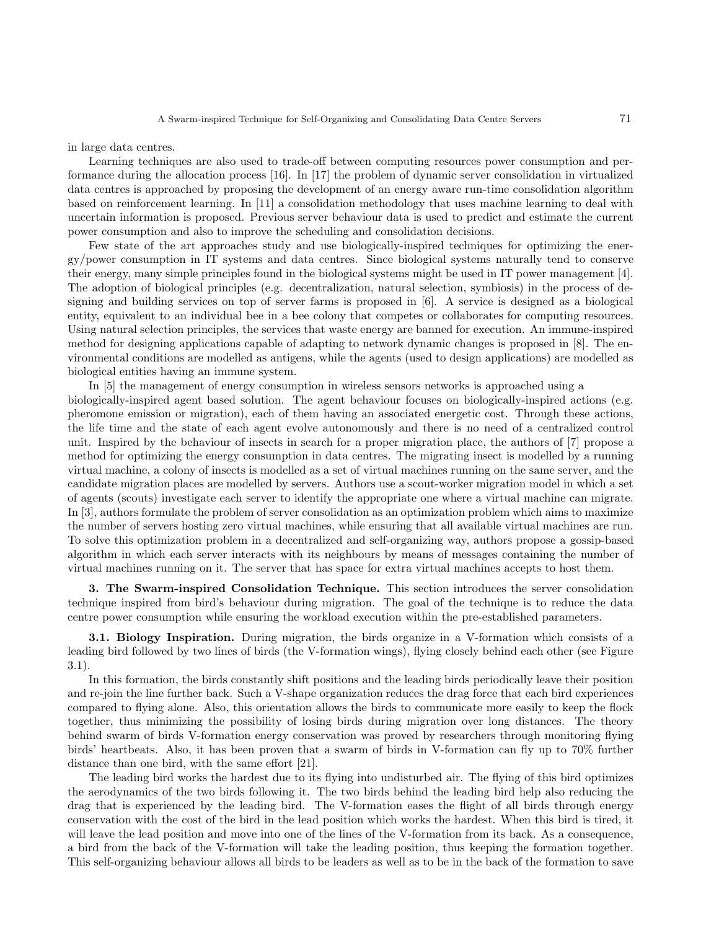in large data centres.

Learning techniques are also used to trade-off between computing resources power consumption and performance during the allocation process [16]. In [17] the problem of dynamic server consolidation in virtualized data centres is approached by proposing the development of an energy aware run-time consolidation algorithm based on reinforcement learning. In [11] a consolidation methodology that uses machine learning to deal with uncertain information is proposed. Previous server behaviour data is used to predict and estimate the current power consumption and also to improve the scheduling and consolidation decisions.

Few state of the art approaches study and use biologically-inspired techniques for optimizing the energy/power consumption in IT systems and data centres. Since biological systems naturally tend to conserve their energy, many simple principles found in the biological systems might be used in IT power management [4]. The adoption of biological principles (e.g. decentralization, natural selection, symbiosis) in the process of designing and building services on top of server farms is proposed in [6]. A service is designed as a biological entity, equivalent to an individual bee in a bee colony that competes or collaborates for computing resources. Using natural selection principles, the services that waste energy are banned for execution. An immune-inspired method for designing applications capable of adapting to network dynamic changes is proposed in [8]. The environmental conditions are modelled as antigens, while the agents (used to design applications) are modelled as biological entities having an immune system.

In [5] the management of energy consumption in wireless sensors networks is approached using a biologically-inspired agent based solution. The agent behaviour focuses on biologically-inspired actions (e.g. pheromone emission or migration), each of them having an associated energetic cost. Through these actions, the life time and the state of each agent evolve autonomously and there is no need of a centralized control unit. Inspired by the behaviour of insects in search for a proper migration place, the authors of [7] propose a method for optimizing the energy consumption in data centres. The migrating insect is modelled by a running virtual machine, a colony of insects is modelled as a set of virtual machines running on the same server, and the candidate migration places are modelled by servers. Authors use a scout-worker migration model in which a set of agents (scouts) investigate each server to identify the appropriate one where a virtual machine can migrate. In [3], authors formulate the problem of server consolidation as an optimization problem which aims to maximize the number of servers hosting zero virtual machines, while ensuring that all available virtual machines are run. To solve this optimization problem in a decentralized and self-organizing way, authors propose a gossip-based algorithm in which each server interacts with its neighbours by means of messages containing the number of virtual machines running on it. The server that has space for extra virtual machines accepts to host them.

3. The Swarm-inspired Consolidation Technique. This section introduces the server consolidation technique inspired from bird's behaviour during migration. The goal of the technique is to reduce the data centre power consumption while ensuring the workload execution within the pre-established parameters.

3.1. Biology Inspiration. During migration, the birds organize in a V-formation which consists of a leading bird followed by two lines of birds (the V-formation wings), flying closely behind each other (see Figure 3.1).

In this formation, the birds constantly shift positions and the leading birds periodically leave their position and re-join the line further back. Such a V-shape organization reduces the drag force that each bird experiences compared to flying alone. Also, this orientation allows the birds to communicate more easily to keep the flock together, thus minimizing the possibility of losing birds during migration over long distances. The theory behind swarm of birds V-formation energy conservation was proved by researchers through monitoring flying birds' heartbeats. Also, it has been proven that a swarm of birds in V-formation can fly up to 70% further distance than one bird, with the same effort [21].

The leading bird works the hardest due to its flying into undisturbed air. The flying of this bird optimizes the aerodynamics of the two birds following it. The two birds behind the leading bird help also reducing the drag that is experienced by the leading bird. The V-formation eases the flight of all birds through energy conservation with the cost of the bird in the lead position which works the hardest. When this bird is tired, it will leave the lead position and move into one of the lines of the V-formation from its back. As a consequence, a bird from the back of the V-formation will take the leading position, thus keeping the formation together. This self-organizing behaviour allows all birds to be leaders as well as to be in the back of the formation to save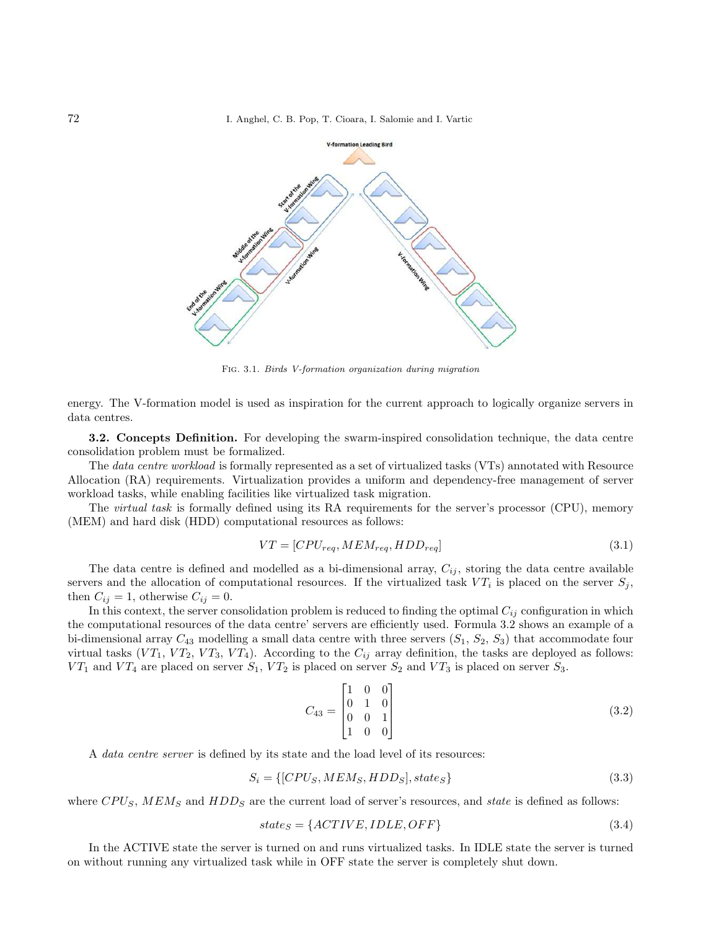72 I. Anghel, C. B. Pop, T. Cioara, I. Salomie and I. Vartic



Fig. 3.1. Birds V-formation organization during migration

energy. The V-formation model is used as inspiration for the current approach to logically organize servers in data centres.

3.2. Concepts Definition. For developing the swarm-inspired consolidation technique, the data centre consolidation problem must be formalized.

The data centre workload is formally represented as a set of virtualized tasks (VTs) annotated with Resource Allocation (RA) requirements. Virtualization provides a uniform and dependency-free management of server workload tasks, while enabling facilities like virtualized task migration.

The *virtual task* is formally defined using its RA requirements for the server's processor (CPU), memory (MEM) and hard disk (HDD) computational resources as follows:

$$
VT = [CPU_{req}, MEM_{req}, HDD_{req}] \tag{3.1}
$$

The data centre is defined and modelled as a bi-dimensional array,  $C_{ij}$ , storing the data centre available servers and the allocation of computational resources. If the virtualized task  $VT_i$  is placed on the server  $S_j$ , then  $C_{ij} = 1$ , otherwise  $C_{ij} = 0$ .

In this context, the server consolidation problem is reduced to finding the optimal  $C_{ij}$  configuration in which the computational resources of the data centre' servers are efficiently used. Formula 3.2 shows an example of a bi-dimensional array  $C_{43}$  modelling a small data centre with three servers  $(S_1, S_2, S_3)$  that accommodate four virtual tasks  $(VT_1, VT_2, VT_3, VT_4)$ . According to the  $C_{ij}$  array definition, the tasks are deployed as follows:  $VT_1$  and  $VT_4$  are placed on server  $S_1$ ,  $VT_2$  is placed on server  $S_2$  and  $VT_3$  is placed on server  $S_3$ .

$$
C_{43} = \begin{bmatrix} 1 & 0 & 0 \\ 0 & 1 & 0 \\ 0 & 0 & 1 \\ 1 & 0 & 0 \end{bmatrix}
$$
 (3.2)

A data centre server is defined by its state and the load level of its resources:

$$
S_i = \{[CPU_S, MEM_S, HDD_S], state_S\} \tag{3.3}
$$

where  $CPU_S$ ,  $MEM_S$  and  $HDD_S$  are the current load of server's resources, and state is defined as follows:

$$
state_S = \{ACTIVE, IDLE, OFF\} \tag{3.4}
$$

In the ACTIVE state the server is turned on and runs virtualized tasks. In IDLE state the server is turned on without running any virtualized task while in OFF state the server is completely shut down.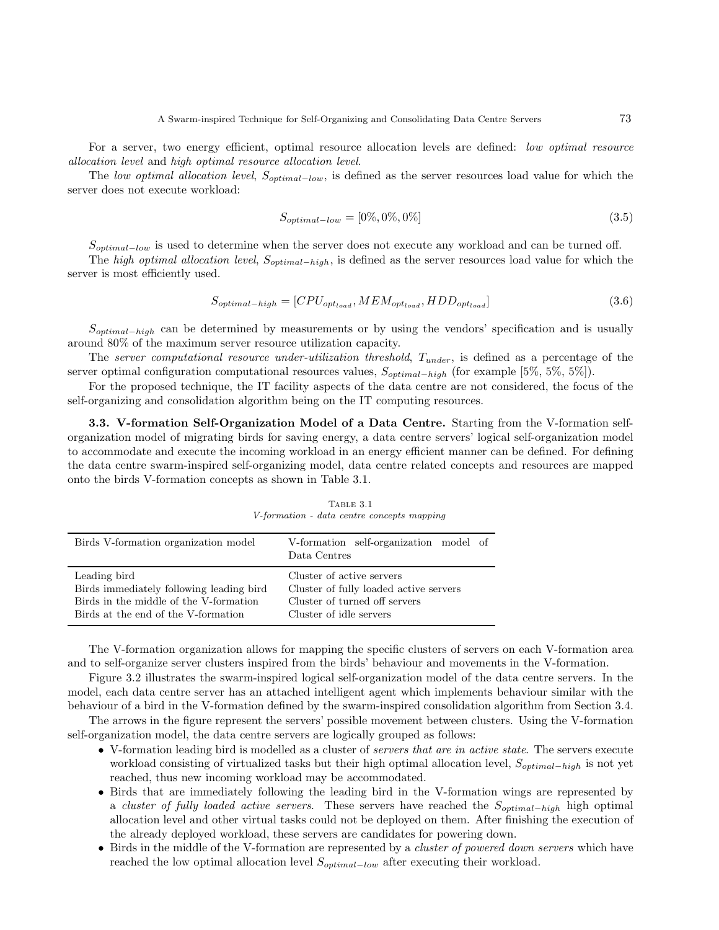For a server, two energy efficient, optimal resource allocation levels are defined: low optimal resource allocation level and high optimal resource allocation level.

The low optimal allocation level,  $S_{optimal-low}$ , is defined as the server resources load value for which the server does not execute workload:

$$
S_{optimal-low} = [0\%, 0\%, 0\%]
$$
\n(3.5)

 $S_{optimal-low}$  is used to determine when the server does not execute any workload and can be turned off.

The high optimal allocation level,  $S_{optimal-high}$ , is defined as the server resources load value for which the server is most efficiently used.

$$
S_{optimal-high} = [CPU_{opt_{load}}, MEM_{opt_{load}}, HDD_{opt_{load}}]
$$
\n(3.6)

 $S_{optimal-high}$  can be determined by measurements or by using the vendors' specification and is usually around 80% of the maximum server resource utilization capacity.

The server computational resource under-utilization threshold,  $T_{under}$ , is defined as a percentage of the server optimal configuration computational resources values,  $S_{optimal-high}$  (for example [5%, 5%, 5%]).

For the proposed technique, the IT facility aspects of the data centre are not considered, the focus of the self-organizing and consolidation algorithm being on the IT computing resources.

3.3. V-formation Self-Organization Model of a Data Centre. Starting from the V-formation selforganization model of migrating birds for saving energy, a data centre servers' logical self-organization model to accommodate and execute the incoming workload in an energy efficient manner can be defined. For defining the data centre swarm-inspired self-organizing model, data centre related concepts and resources are mapped onto the birds V-formation concepts as shown in Table 3.1.

Table 3.1 V-formation - data centre concepts mapping

| Birds V-formation organization model     | V-formation self-organization model of<br>Data Centres |
|------------------------------------------|--------------------------------------------------------|
| Leading bird                             | Cluster of active servers                              |
| Birds immediately following leading bird | Cluster of fully loaded active servers                 |
| Birds in the middle of the V-formation   | Cluster of turned off servers                          |
| Birds at the end of the V-formation      | Cluster of idle servers                                |

The V-formation organization allows for mapping the specific clusters of servers on each V-formation area and to self-organize server clusters inspired from the birds' behaviour and movements in the V-formation.

Figure 3.2 illustrates the swarm-inspired logical self-organization model of the data centre servers. In the model, each data centre server has an attached intelligent agent which implements behaviour similar with the behaviour of a bird in the V-formation defined by the swarm-inspired consolidation algorithm from Section 3.4.

The arrows in the figure represent the servers' possible movement between clusters. Using the V-formation self-organization model, the data centre servers are logically grouped as follows:

- V-formation leading bird is modelled as a cluster of servers that are in active state. The servers execute workload consisting of virtualized tasks but their high optimal allocation level,  $S_{optimal-high}$  is not yet reached, thus new incoming workload may be accommodated.
- Birds that are immediately following the leading bird in the V-formation wings are represented by a cluster of fully loaded active servers. These servers have reached the  $S_{optimal-high}$  high optimal allocation level and other virtual tasks could not be deployed on them. After finishing the execution of the already deployed workload, these servers are candidates for powering down.
- Birds in the middle of the V-formation are represented by a *cluster of powered down servers* which have reached the low optimal allocation level  $S_{optimal-low}$  after executing their workload.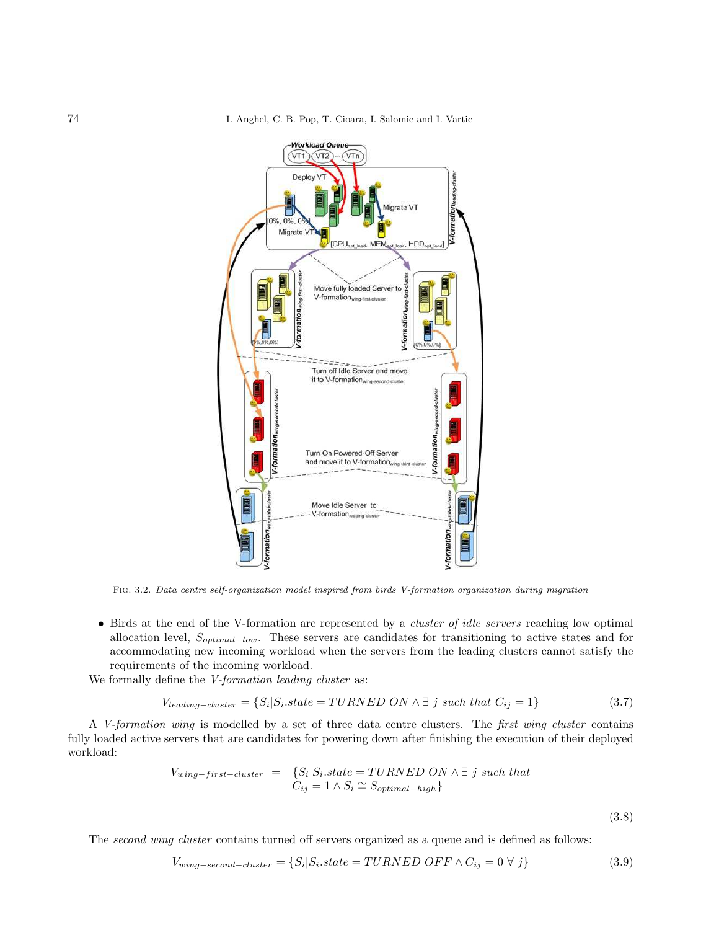

Fig. 3.2. Data centre self-organization model inspired from birds V-formation organization during migration

• Birds at the end of the V-formation are represented by a *cluster of idle servers* reaching low optimal allocation level, Soptimal−low. These servers are candidates for transitioning to active states and for accommodating new incoming workload when the servers from the leading clusters cannot satisfy the requirements of the incoming workload.

We formally define the *V-formation leading cluster* as:

$$
V_{leading-cluster} = \{ S_i | S_i.state = TURNED ON \land \exists j \text{ such that } C_{ij} = 1 \}
$$
\n(3.7)

A V-formation wing is modelled by a set of three data centre clusters. The first wing cluster contains fully loaded active servers that are candidates for powering down after finishing the execution of their deployed workload:

$$
V_{wing-first-cluster} = \{ S_i | S_i.state = TURNED ON \land \exists j \text{ such that } C_{ij} = 1 \land S_i \cong S_{optimal-high} \}
$$

(3.8)

The second wing cluster contains turned off servers organized as a queue and is defined as follows:

$$
V_{wing-second-cluster} = \{ S_i | S_i.state = TURNED \text{ } OFF \wedge C_{ij} = 0 \ \forall \ j \}
$$
\n
$$
(3.9)
$$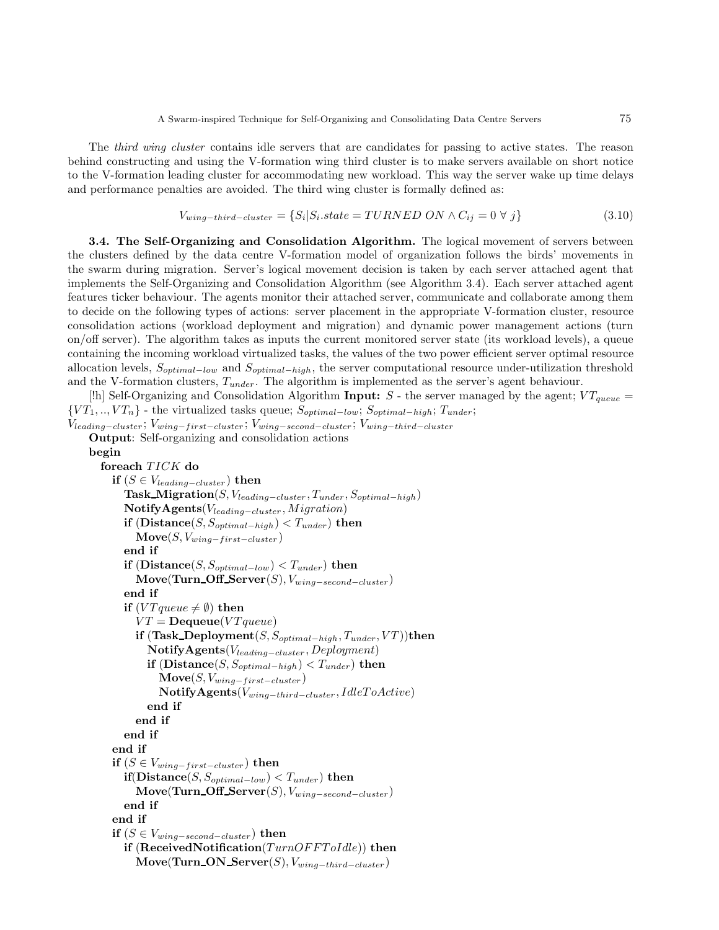The *third wing cluster* contains idle servers that are candidates for passing to active states. The reason behind constructing and using the V-formation wing third cluster is to make servers available on short notice to the V-formation leading cluster for accommodating new workload. This way the server wake up time delays and performance penalties are avoided. The third wing cluster is formally defined as:

$$
V_{wing-third-cluster} = \{ S_i | S_i.state = TURNED ON \land C_{ij} = 0 \ \forall \ j \}
$$
\n
$$
(3.10)
$$

3.4. The Self-Organizing and Consolidation Algorithm. The logical movement of servers between the clusters defined by the data centre V-formation model of organization follows the birds' movements in the swarm during migration. Server's logical movement decision is taken by each server attached agent that implements the Self-Organizing and Consolidation Algorithm (see Algorithm 3.4). Each server attached agent features ticker behaviour. The agents monitor their attached server, communicate and collaborate among them to decide on the following types of actions: server placement in the appropriate V-formation cluster, resource consolidation actions (workload deployment and migration) and dynamic power management actions (turn on/off server). The algorithm takes as inputs the current monitored server state (its workload levels), a queue containing the incoming workload virtualized tasks, the values of the two power efficient server optimal resource allocation levels,  $S_{optimal-low}$  and  $S_{optimal-high}$ , the server computational resource under-utilization threshold and the V-formation clusters,  $T_{under}$ . The algorithm is implemented as the server's agent behaviour.

[!h] Self-Organizing and Consolidation Algorithm Input: S - the server managed by the agent;  $VT_{queue}$  =  $\{VT_1, ..., VT_n\}$  - the virtualized tasks queue;  $S_{optimal-low}$ ;  $S_{optimal-high}$ ;  $T_{under}$ ;

```
V_{leading-cluster}; V_{wing-first-cluster}; V_{wing-search} is V_{wing-search}Output: Self-organizing and consolidation actions
    begin
      foreach TICK do
         if (S \in V_{leading-cluster}) then
           Task Migration(S, Vleading−cluster , Tunder, Soptimal−high)
           \textbf{Notify Agents}(V_{leading-cluster}, Migration)if (Distance(S, S_{optimal-high}) < T_{under}) then
              \textbf{Move}(S, V_{wing-first-cluster})end if
           if (Distance(S, S_{optimal-low}) < T_{under}) then
              \text{Move}(\text{Turn\_Off\_Server}(S), V_{wing-second-cluster})end if
           if (VT queue \neq \emptyset) then
              VT = \textbf{Dequeue}(VTqueue)if (Task\_Deployment(S, S_{optimal-high}, T_{under}, VT))then
                NotifyAgents(Vleading−cluster , Deployment)
                if (Distance(S, S_{optimal-high}) < T_{under}) then
                   \mathbf{Move}(S, V_{wing-first-cluster})\mathbf{Notify Agents}(V_{wing-third-cluster}, IdleToActive)end if
              end if
           end if
         end if
         if (S \in V_{wing-first-cluster}) then
           if(Distance(S, S_{optimal-low}) < T_{under}) then
              \textbf{Move}(\textbf{Turn\_Off\_Server}(S), V_{wing-second-cluster})end if
         end if
         if (S ∈ V_{wing-second-cluster}) then
           if (ReceivedNotification(TurnOFFTolde)) then
              Move(Turn_ON_Server(S), V_{wing-third-cluster})
```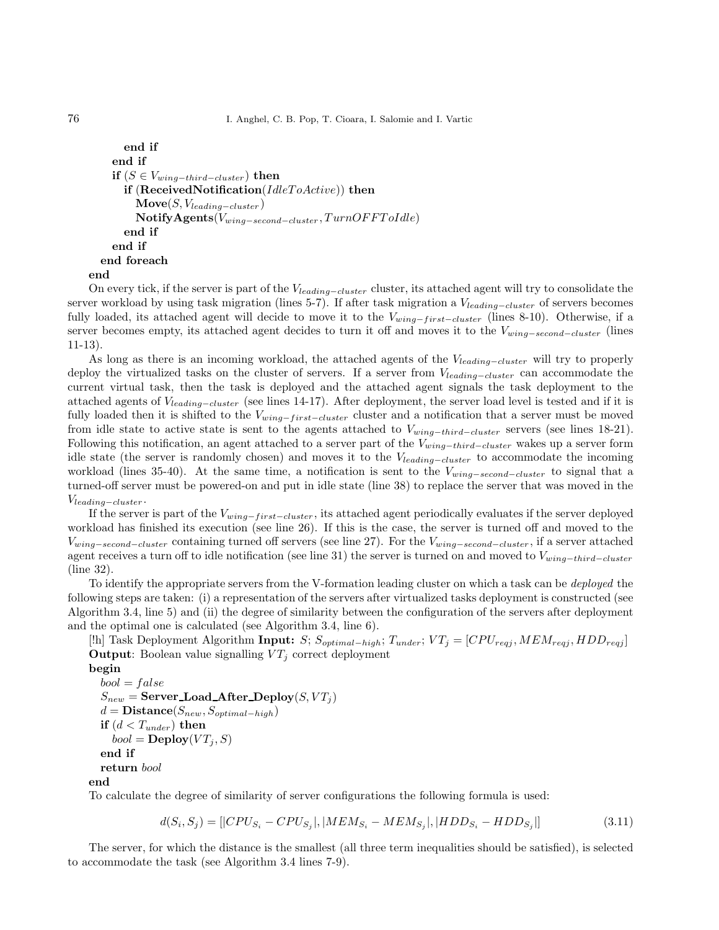```
end if
  end if
  if (S \in V_{wing-third-cluster}) then
    if (ReceivedNotification(IdleToActive)) then
       \textbf{Move}(S, V_{leading-cluster})\textbf{Notify Agents}(V_{wing-second-cluster}, TurnOFFToIdle)end if
  end if
end foreach
```
end

On every tick, if the server is part of the  $V_{leading-cluster}$  cluster, its attached agent will try to consolidate the server workload by using task migration (lines 5-7). If after task migration a V<sub>leading−cluster</sub> of servers becomes fully loaded, its attached agent will decide to move it to the  $V_{wing-first-cluster}$  (lines 8-10). Otherwise, if a server becomes empty, its attached agent decides to turn it off and moves it to the  $V_{wing-second-cluster}$  (lines 11-13).

As long as there is an incoming workload, the attached agents of the  $V_{leading-cluster}$  will try to properly deploy the virtualized tasks on the cluster of servers. If a server from  $V_{leading-cluster}$  can accommodate the current virtual task, then the task is deployed and the attached agent signals the task deployment to the attached agents of Vleading−cluster (see lines 14-17). After deployment, the server load level is tested and if it is fully loaded then it is shifted to the  $V_{wing-first-cluster}$  cluster and a notification that a server must be moved from idle state to active state is sent to the agents attached to  $V_{wing-third-cluster}$  servers (see lines 18-21). Following this notification, an agent attached to a server part of the  $V_{wing-third-cluster}$  wakes up a server form idle state (the server is randomly chosen) and moves it to the  $V_{leading-cluster}$  to accommodate the incoming workload (lines 35-40). At the same time, a notification is sent to the  $V_{wing-second-cluster}$  to signal that a turned-off server must be powered-on and put in idle state (line 38) to replace the server that was moved in the  $V_{leading-cluster}$ .

If the server is part of the  $V_{wing-first-cluster}$ , its attached agent periodically evaluates if the server deployed workload has finished its execution (see line 26). If this is the case, the server is turned off and moved to the  $V_{wing-second-cluster}$  containing turned off servers (see line 27). For the  $V_{wing-second-cluster}$ , if a server attached agent receives a turn off to idle notification (see line 31) the server is turned on and moved to  $V_{wing-third-cluster}$ (line 32).

To identify the appropriate servers from the V-formation leading cluster on which a task can be deployed the following steps are taken: (i) a representation of the servers after virtualized tasks deployment is constructed (see Algorithm 3.4, line 5) and (ii) the degree of similarity between the configuration of the servers after deployment and the optimal one is calculated (see Algorithm 3.4, line 6).

[!h] Task Deployment Algorithm Input: S;  $S_{optimal-high}$ ;  $T_{under}$ ;  $VT_j = [CPU_{regj}, MEM_{regj}, HDD_{regj}]$ **Output:** Boolean value signalling  $VT_j$  correct deployment

begin

 $bool = false$  $S_{new}$  = Server Load After Deploy $(S, VT_i)$  $d = \text{Distance}(S_{new}, S_{optimal-high})$ if  $(d < T_{under})$  then  $bool = \mathbf{Deplay}(VT_i, S)$ end if return bool end

To calculate the degree of similarity of server configurations the following formula is used:

$$
d(S_i, S_j) = [|CPU_{S_i} - CPU_{S_j}|, |MEM_{S_i} - MEM_{S_j}|, |HDD_{S_i} - HDD_{S_j}|]
$$
\n(3.11)

The server, for which the distance is the smallest (all three term inequalities should be satisfied), is selected to accommodate the task (see Algorithm 3.4 lines 7-9).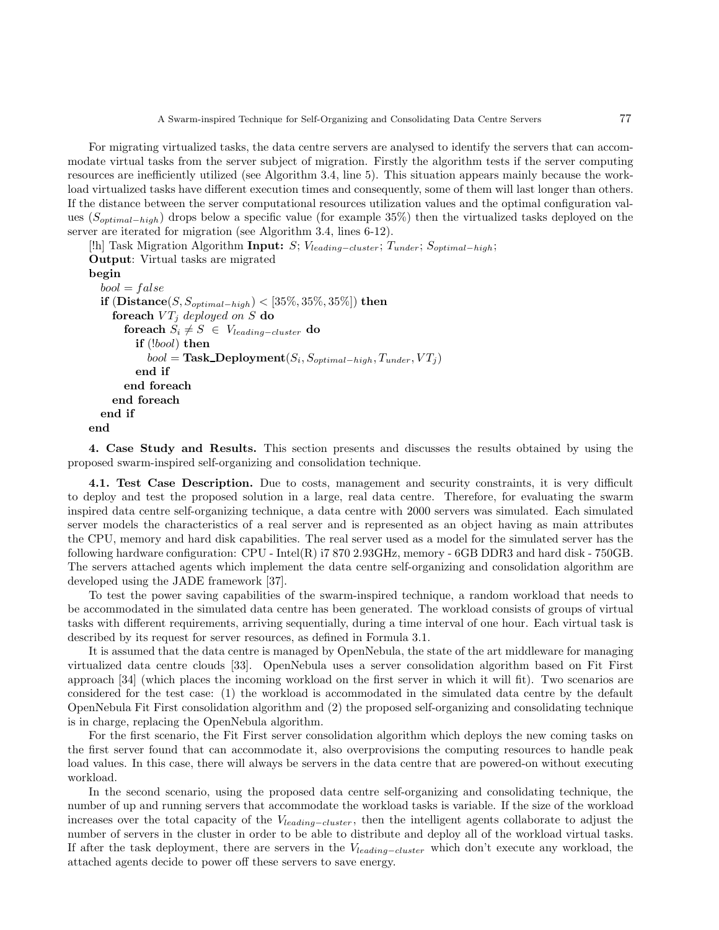For migrating virtualized tasks, the data centre servers are analysed to identify the servers that can accommodate virtual tasks from the server subject of migration. Firstly the algorithm tests if the server computing resources are inefficiently utilized (see Algorithm 3.4, line 5). This situation appears mainly because the workload virtualized tasks have different execution times and consequently, some of them will last longer than others. If the distance between the server computational resources utilization values and the optimal configuration values (Soptimal−high) drops below a specific value (for example 35%) then the virtualized tasks deployed on the server are iterated for migration (see Algorithm 3.4, lines 6-12).

```
[!h] Task Migration Algorithm Input: S; V<sub>leading–cluster</sub>; T<sub>under</sub>; S<sub>optimal−high</sub>;
Output: Virtual tasks are migrated
begin
  bool = falseif (\textbf{Distance}(S, S_{optimal-high}) < [35%, 35%, 35%]) then
     foreach VT_j deployed on S do
       foreach S_i \neq S ∈ V_{leading-cluster} do
          if (!bool) then
             bool = \textbf{Task\_Deplogment}(S_i, S_{optimal-high}, T_{under}, VT_j)end if
       end foreach
     end foreach
  end if
end
```
4. Case Study and Results. This section presents and discusses the results obtained by using the proposed swarm-inspired self-organizing and consolidation technique.

4.1. Test Case Description. Due to costs, management and security constraints, it is very difficult to deploy and test the proposed solution in a large, real data centre. Therefore, for evaluating the swarm inspired data centre self-organizing technique, a data centre with 2000 servers was simulated. Each simulated server models the characteristics of a real server and is represented as an object having as main attributes the CPU, memory and hard disk capabilities. The real server used as a model for the simulated server has the following hardware configuration:  $CPU$  - Intel(R) i7 870 2.93GHz, memory - 6GB DDR3 and hard disk - 750GB. The servers attached agents which implement the data centre self-organizing and consolidation algorithm are developed using the JADE framework [37].

To test the power saving capabilities of the swarm-inspired technique, a random workload that needs to be accommodated in the simulated data centre has been generated. The workload consists of groups of virtual tasks with different requirements, arriving sequentially, during a time interval of one hour. Each virtual task is described by its request for server resources, as defined in Formula 3.1.

It is assumed that the data centre is managed by OpenNebula, the state of the art middleware for managing virtualized data centre clouds [33]. OpenNebula uses a server consolidation algorithm based on Fit First approach [34] (which places the incoming workload on the first server in which it will fit). Two scenarios are considered for the test case: (1) the workload is accommodated in the simulated data centre by the default OpenNebula Fit First consolidation algorithm and (2) the proposed self-organizing and consolidating technique is in charge, replacing the OpenNebula algorithm.

For the first scenario, the Fit First server consolidation algorithm which deploys the new coming tasks on the first server found that can accommodate it, also overprovisions the computing resources to handle peak load values. In this case, there will always be servers in the data centre that are powered-on without executing workload.

In the second scenario, using the proposed data centre self-organizing and consolidating technique, the number of up and running servers that accommodate the workload tasks is variable. If the size of the workload increases over the total capacity of the Vleading−cluster , then the intelligent agents collaborate to adjust the number of servers in the cluster in order to be able to distribute and deploy all of the workload virtual tasks. If after the task deployment, there are servers in the V<sub>leading–cluster</sub> which don't execute any workload, the attached agents decide to power off these servers to save energy.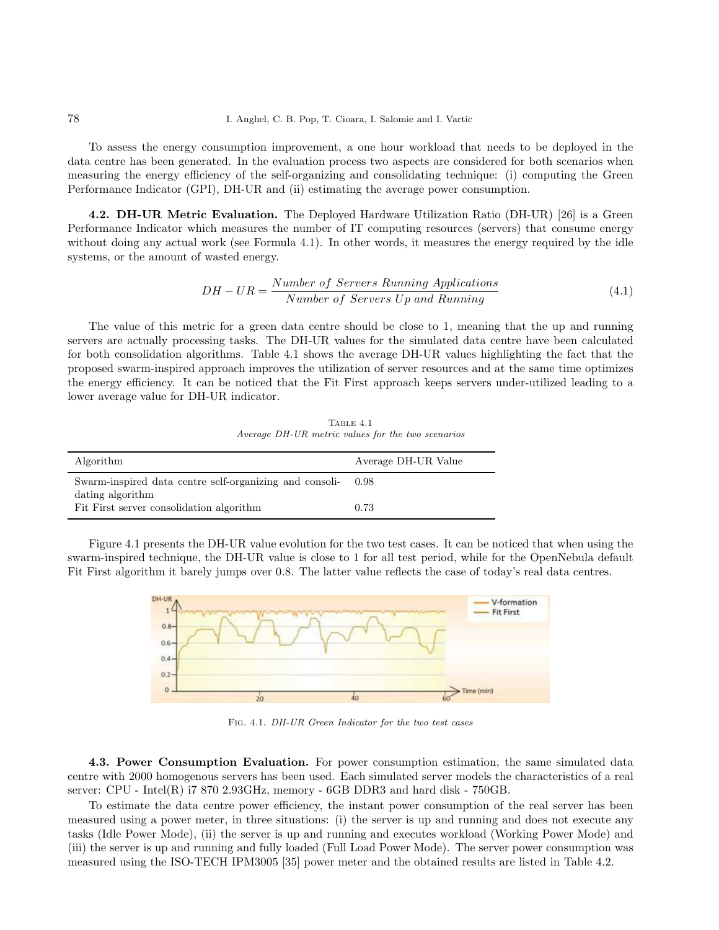To assess the energy consumption improvement, a one hour workload that needs to be deployed in the data centre has been generated. In the evaluation process two aspects are considered for both scenarios when measuring the energy efficiency of the self-organizing and consolidating technique: (i) computing the Green Performance Indicator (GPI), DH-UR and (ii) estimating the average power consumption.

4.2. DH-UR Metric Evaluation. The Deployed Hardware Utilization Ratio (DH-UR) [26] is a Green Performance Indicator which measures the number of IT computing resources (servers) that consume energy without doing any actual work (see Formula 4.1). In other words, it measures the energy required by the idle systems, or the amount of wasted energy.

$$
DH-UR = \frac{Number\ of\ Servers\ Running\ Applications}{Number\ of\ Servers\ Up\ and\ Running}
$$
\n(4.1)

The value of this metric for a green data centre should be close to 1, meaning that the up and running servers are actually processing tasks. The DH-UR values for the simulated data centre have been calculated for both consolidation algorithms. Table 4.1 shows the average DH-UR values highlighting the fact that the proposed swarm-inspired approach improves the utilization of server resources and at the same time optimizes the energy efficiency. It can be noticed that the Fit First approach keeps servers under-utilized leading to a lower average value for DH-UR indicator.

TABLE  $4.1$ Average DH-UR metric values for the two scenarios

| Algorithm                                                                   | Average DH-UR Value |
|-----------------------------------------------------------------------------|---------------------|
| Swarm-inspired data centre self-organizing and consoli-<br>dating algorithm | 0.98                |
| Fit First server consolidation algorithm                                    | 0.73                |

Figure 4.1 presents the DH-UR value evolution for the two test cases. It can be noticed that when using the swarm-inspired technique, the DH-UR value is close to 1 for all test period, while for the OpenNebula default Fit First algorithm it barely jumps over 0.8. The latter value reflects the case of today's real data centres.



Fig. 4.1. DH-UR Green Indicator for the two test cases

4.3. Power Consumption Evaluation. For power consumption estimation, the same simulated data centre with 2000 homogenous servers has been used. Each simulated server models the characteristics of a real server:  $CPU$  - Intel $(R)$  i7 870 2.93GHz, memory -  $6GB$  DDR3 and hard disk - 750GB.

To estimate the data centre power efficiency, the instant power consumption of the real server has been measured using a power meter, in three situations: (i) the server is up and running and does not execute any tasks (Idle Power Mode), (ii) the server is up and running and executes workload (Working Power Mode) and (iii) the server is up and running and fully loaded (Full Load Power Mode). The server power consumption was measured using the ISO-TECH IPM3005 [35] power meter and the obtained results are listed in Table 4.2.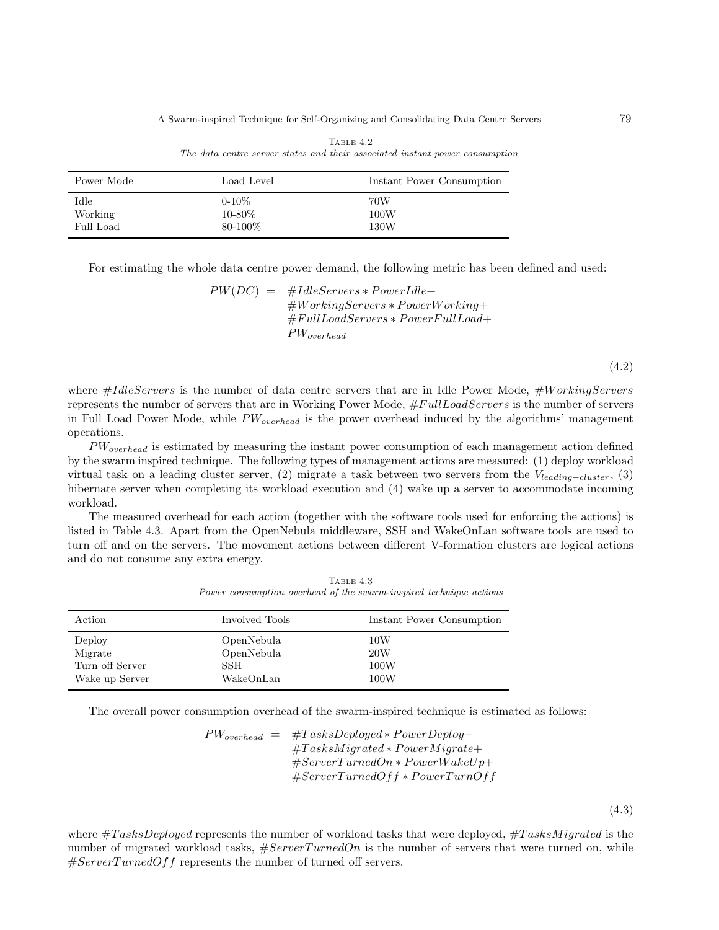A Swarm-inspired Technique for Self-Organizing and Consolidating Data Centre Servers 79

| Power Mode  | Load Level  | Instant Power Consumption |
|-------------|-------------|---------------------------|
| <b>Idle</b> | $0 - 10\%$  | 70W                       |
| Working     | $10 - 80\%$ | 100W                      |
| Full Load   | 80-100%     | 130W                      |

| TABLE 4.2 |  |  |  |  |  |  |                                                                              |
|-----------|--|--|--|--|--|--|------------------------------------------------------------------------------|
|           |  |  |  |  |  |  | The data centre server states and their associated instant power consumption |

For estimating the whole data centre power demand, the following metric has been defined and used:

 $PW(DC) = #IdleServers*PowerIdle+$  $#WorkingServers * PowerWorking +$ #F ullLoadServers ∗ P owerF ullLoad+  $PW_{overhead}$ 

(4.2)

where  $\#IdleServers$  is the number of data centre servers that are in Idle Power Mode,  $\#WorkingServers$ represents the number of servers that are in Working Power Mode,  $#FullLoadServers$  is the number of servers in Full Load Power Mode, while  $PW_{overhead}$  is the power overhead induced by the algorithms' management operations.

 $PW_{overhead}$  is estimated by measuring the instant power consumption of each management action defined by the swarm inspired technique. The following types of management actions are measured: (1) deploy workload virtual task on a leading cluster server, (2) migrate a task between two servers from the  $V_{leading-cluster}$ , (3) hibernate server when completing its workload execution and  $(4)$  wake up a server to accommodate incoming workload.

The measured overhead for each action (together with the software tools used for enforcing the actions) is listed in Table 4.3. Apart from the OpenNebula middleware, SSH and WakeOnLan software tools are used to turn off and on the servers. The movement actions between different V-formation clusters are logical actions and do not consume any extra energy.

| Action          | Involved Tools | Instant Power Consumption |
|-----------------|----------------|---------------------------|
| Deploy          | OpenNebula     | 10W                       |
| Migrate         | OpenNebula     | 20W                       |
| Turn off Server | SSH            | 100W                      |
| Wake up Server  | WakeOnLan      | 100W                      |

TABLE  $4.3$ Power consumption overhead of the swarm-inspired technique actions

The overall power consumption overhead of the swarm-inspired technique is estimated as follows:

 $PW_{overhead}$  =  $\#TasksDeployd* PowerDeploy+$  $\#TasksMigated*PowerMigrate+$  $\#ServerTurnedOn*PowerWakeUp+$  $\#ServerTurnedOff * PowerTurnOff$ 

(4.3)

where  $\#TaskSDeploved$  represents the number of workload tasks that were deployed,  $\#TaskMigated$  is the number of migrated workload tasks,  $\#ServerTurnedOn$  is the number of servers that were turned on, while  $\#ServerTurnedOff$  represents the number of turned off servers.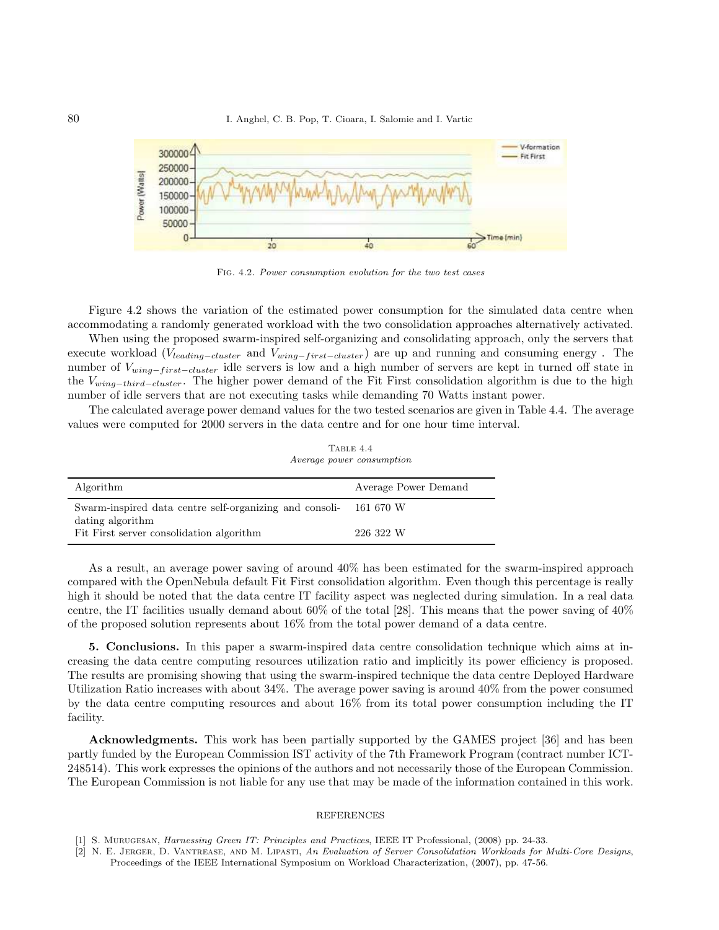

Fig. 4.2. Power consumption evolution for the two test cases

Figure 4.2 shows the variation of the estimated power consumption for the simulated data centre when accommodating a randomly generated workload with the two consolidation approaches alternatively activated.

When using the proposed swarm-inspired self-organizing and consolidating approach, only the servers that execute workload ( $V_{leading-cluster}$  and  $V_{wing-first-cluster}$ ) are up and running and consuming energy. The number of V<sub>wing−first−cluster</sub> idle servers is low and a high number of servers are kept in turned off state in the Vwing−third−cluster . The higher power demand of the Fit First consolidation algorithm is due to the high number of idle servers that are not executing tasks while demanding 70 Watts instant power.

The calculated average power demand values for the two tested scenarios are given in Table 4.4. The average values were computed for 2000 servers in the data centre and for one hour time interval.

|                                                                   | <i>Average power consumption</i> |  |  |
|-------------------------------------------------------------------|----------------------------------|--|--|
| Algorithm                                                         | Average Power Demand             |  |  |
| Swarm-inspired data centre self-organizing and consoli- 161 670 W |                                  |  |  |
| dating algorithm                                                  |                                  |  |  |
| Fit First server consolidation algorithm                          | 226 322 W                        |  |  |

TABLE  $4.4$ 

As a result, an average power saving of around 40% has been estimated for the swarm-inspired approach compared with the OpenNebula default Fit First consolidation algorithm. Even though this percentage is really high it should be noted that the data centre IT facility aspect was neglected during simulation. In a real data centre, the IT facilities usually demand about 60% of the total [28]. This means that the power saving of  $40\%$ of the proposed solution represents about 16% from the total power demand of a data centre.

5. Conclusions. In this paper a swarm-inspired data centre consolidation technique which aims at increasing the data centre computing resources utilization ratio and implicitly its power efficiency is proposed. The results are promising showing that using the swarm-inspired technique the data centre Deployed Hardware Utilization Ratio increases with about 34%. The average power saving is around 40% from the power consumed by the data centre computing resources and about 16% from its total power consumption including the IT facility.

Acknowledgments. This work has been partially supported by the GAMES project [36] and has been partly funded by the European Commission IST activity of the 7th Framework Program (contract number ICT-248514). This work expresses the opinions of the authors and not necessarily those of the European Commission. The European Commission is not liable for any use that may be made of the information contained in this work.

## REFERENCES

<sup>[1]</sup> S. Murugesan, Harnessing Green IT: Principles and Practices, IEEE IT Professional, (2008) pp. 24-33.

<sup>[2]</sup> N. E. JERGER, D. VANTREASE, AND M. LIPASTI, An Evaluation of Server Consolidation Workloads for Multi-Core Designs, Proceedings of the IEEE International Symposium on Workload Characterization, (2007), pp. 47-56.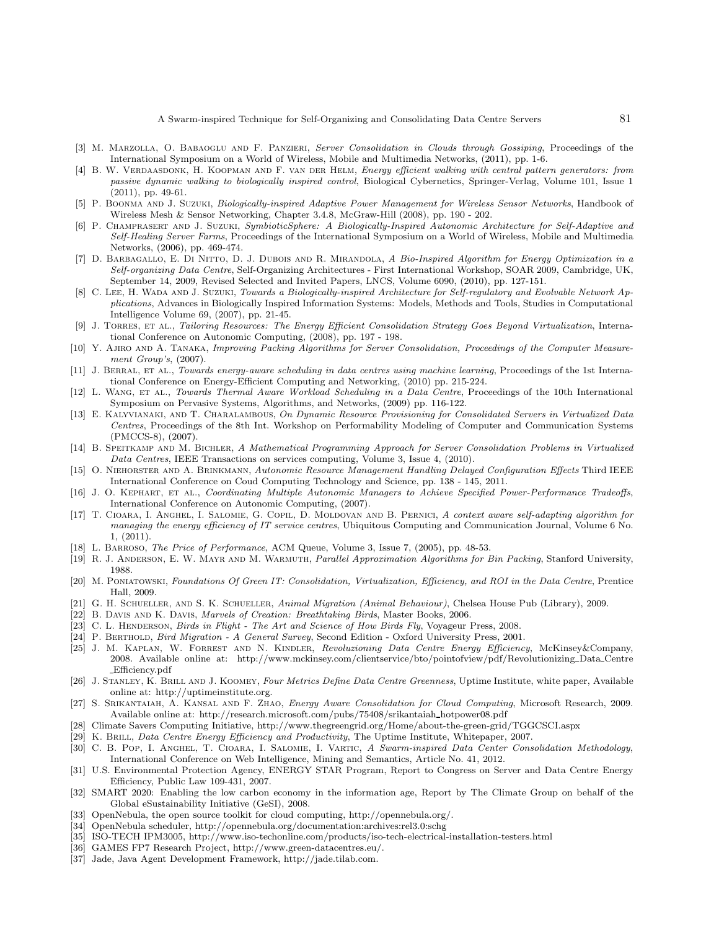- [3] M. MARZOLLA, O. BABAOGLU AND F. PANZIERI, Server Consolidation in Clouds through Gossiping, Proceedings of the International Symposium on a World of Wireless, Mobile and Multimedia Networks, (2011), pp. 1-6.
- [4] B. W. VERDAASDONK, H. KOOPMAN AND F. VAN DER HELM, Energy efficient walking with central pattern generators: from passive dynamic walking to biologically inspired control, Biological Cybernetics, Springer-Verlag, Volume 101, Issue 1 (2011), pp. 49-61.
- [5] P. Boonma and J. Suzuki, Biologically-inspired Adaptive Power Management for Wireless Sensor Networks, Handbook of Wireless Mesh & Sensor Networking, Chapter 3.4.8, McGraw-Hill (2008), pp. 190 - 202.
- [6] P. Champrasert and J. Suzuki, SymbioticSphere: A Biologically-Inspired Autonomic Architecture for Self-Adaptive and Self-Healing Server Farms, Proceedings of the International Symposium on a World of Wireless, Mobile and Multimedia Networks, (2006), pp. 469-474.
- [7] D. BARBAGALLO, E. DI NITTO, D. J. DUBOIS AND R. MIRANDOLA, A Bio-Inspired Algorithm for Energy Optimization in a Self-organizing Data Centre, Self-Organizing Architectures - First International Workshop, SOAR 2009, Cambridge, UK, September 14, 2009, Revised Selected and Invited Papers, LNCS, Volume 6090, (2010), pp. 127-151.
- [8] C. Lee, H. Wada and J. Suzuki, Towards a Biologically-inspired Architecture for Self-regulatory and Evolvable Network Applications, Advances in Biologically Inspired Information Systems: Models, Methods and Tools, Studies in Computational Intelligence Volume 69, (2007), pp. 21-45.
- [9] J. TORRES, ET AL., Tailoring Resources: The Energy Efficient Consolidation Strategy Goes Beyond Virtualization, International Conference on Autonomic Computing, (2008), pp. 197 - 198.
- [10] Y. Ajiro and A. Tanaka, Improving Packing Algorithms for Server Consolidation, Proceedings of the Computer Measurement Group's, (2007).
- [11] J. BERRAL, ET AL., Towards energy-aware scheduling in data centres using machine learning, Proceedings of the 1st International Conference on Energy-Efficient Computing and Networking, (2010) pp. 215-224.
- [12] L. WANG, ET AL., Towards Thermal Aware Workload Scheduling in a Data Centre, Proceedings of the 10th International Symposium on Pervasive Systems, Algorithms, and Networks, (2009) pp. 116-122.
- [13] E. KALYVIANAKI, AND T. CHARALAMBOUS, On Dynamic Resource Provisioning for Consolidated Servers in Virtualized Data Centres, Proceedings of the 8th Int. Workshop on Performability Modeling of Computer and Communication Systems (PMCCS-8), (2007).
- [14] B. SPEITKAMP AND M. BICHLER, A Mathematical Programming Approach for Server Consolidation Problems in Virtualized Data Centres, IEEE Transactions on services computing, Volume 3, Issue 4, (2010).
- [15] O. NIEHORSTER AND A. BRINKMANN, Autonomic Resource Management Handling Delayed Configuration Effects Third IEEE International Conference on Coud Computing Technology and Science, pp. 138 - 145, 2011.
- [16] J. O. KEPHART, ET AL., Coordinating Multiple Autonomic Managers to Achieve Specified Power-Performance Tradeoffs, International Conference on Autonomic Computing, (2007).
- [17] T. CIOARA, I. ANGHEL, I. SALOMIE, G. COPIL, D. MOLDOVAN AND B. PERNICI, A context aware self-adapting algorithm for managing the energy efficiency of IT service centres, Ubiquitous Computing and Communication Journal, Volume 6 No. 1, (2011).
- [18] L. Barroso, The Price of Performance, ACM Queue, Volume 3, Issue 7, (2005), pp. 48-53.
- [19] R. J. ANDERSON, E. W. MAYR AND M. WARMUTH, Parallel Approximation Algorithms for Bin Packing, Stanford University, 1988.
- [20] M. Poniatowski, Foundations Of Green IT: Consolidation, Virtualization, Efficiency, and ROI in the Data Centre, Prentice Hall, 2009.
- [21] G. H. SCHUELLER, AND S. K. SCHUELLER, Animal Migration (Animal Behaviour), Chelsea House Pub (Library), 2009.
- [22] B. DAVIS AND K. DAVIS, Marvels of Creation: Breathtaking Birds, Master Books, 2006.
- [23] C. L. HENDERSON, Birds in Flight The Art and Science of How Birds Fly, Voyageur Press, 2008.
- [24] P. Berthold, Bird Migration A General Survey, Second Edition Oxford University Press, 2001.
- [25] J. M. Kaplan, W. Forrest and N. Kindler, Revoluzioning Data Centre Energy Efficiency, McKinsey&Company, 2008. Available online at: http://www.mckinsey.com/clientservice/bto/pointofview/pdf/Revolutionizing Data Centre Efficiency.pdf
- [26] J. STANLEY, K. BRILL AND J. KOOMEY, Four Metrics Define Data Centre Greenness, Uptime Institute, white paper, Available online at: http://uptimeinstitute.org.
- [27] S. SRIKANTAIAH, A. KANSAL AND F. ZHAO, *Energy Aware Consolidation for Cloud Computing*, Microsoft Research, 2009. Available online at: http://research.microsoft.com/pubs/75408/srikantaiah hotpower08.pdf
- [28] Climate Savers Computing Initiative, http://www.thegreengrid.org/Home/about-the-green-grid/TGGCSCI.aspx
- [29] K. Brill, Data Centre Energy Efficiency and Productivity, The Uptime Institute, Whitepaper, 2007.
- [30] C. B. Pop, I. Anghel, T. Cioara, I. Salomie, I. Vartic, A Swarm-inspired Data Center Consolidation Methodology, International Conference on Web Intelligence, Mining and Semantics, Article No. 41, 2012.
- [31] U.S. Environmental Protection Agency, ENERGY STAR Program, Report to Congress on Server and Data Centre Energy Efficiency, Public Law 109-431, 2007.
- [32] SMART 2020: Enabling the low carbon economy in the information age, Report by The Climate Group on behalf of the Global eSustainability Initiative (GeSI), 2008.
- [33] OpenNebula, the open source toolkit for cloud computing, http://opennebula.org/.
- [34] OpenNebula scheduler, http://opennebula.org/documentation:archives:rel3.0:schg
- [35] ISO-TECH IPM3005, http://www.iso-techonline.com/products/iso-tech-electrical-installation-testers.html
- [36] GAMES FP7 Research Project, http://www.green-datacentres.eu/.
- [37] Jade, Java Agent Development Framework, http://jade.tilab.com.